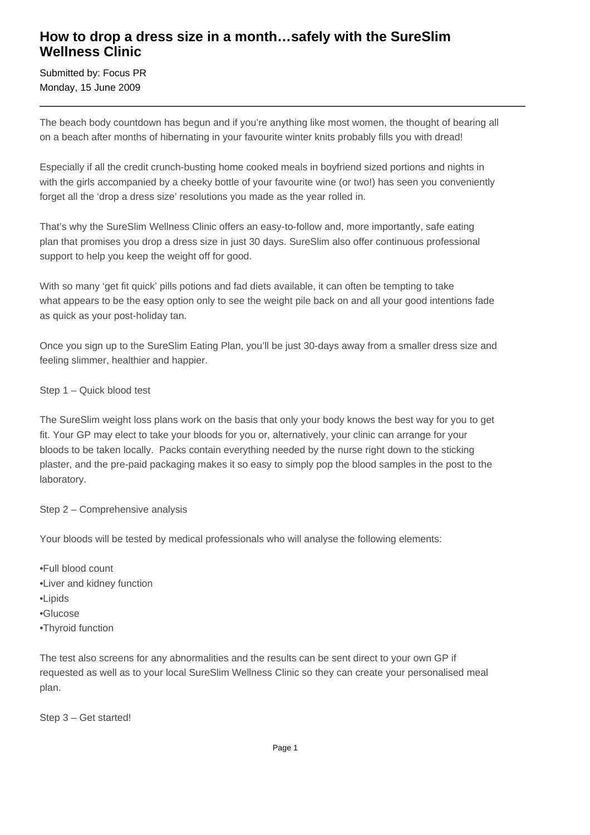## **How to drop a dress size in a month…safely with the SureSlim Wellness Clinic**

Submitted by: Focus PR Monday, 15 June 2009

The beach body countdown has begun and if you're anything like most women, the thought of bearing all on a beach after months of hibernating in your favourite winter knits probably fills you with dread!

Especially if all the credit crunch-busting home cooked meals in boyfriend sized portions and nights in with the girls accompanied by a cheeky bottle of your favourite wine (or two!) has seen you conveniently forget all the 'drop a dress size' resolutions you made as the year rolled in.

That's why the SureSlim Wellness Clinic offers an easy-to-follow and, more importantly, safe eating plan that promises you drop a dress size in just 30 days. SureSlim also offer continuous professional support to help you keep the weight off for good.

With so many 'get fit quick' pills potions and fad diets available, it can often be tempting to take what appears to be the easy option only to see the weight pile back on and all your good intentions fade as quick as your post-holiday tan.

Once you sign up to the SureSlim Eating Plan, you'll be just 30-days away from a smaller dress size and feeling slimmer, healthier and happier.

## Step 1 – Quick blood test

The SureSlim weight loss plans work on the basis that only your body knows the best way for you to get fit. Your GP may elect to take your bloods for you or, alternatively, your clinic can arrange for your bloods to be taken locally. Packs contain everything needed by the nurse right down to the sticking plaster, and the pre-paid packaging makes it so easy to simply pop the blood samples in the post to the laboratory.

## Step 2 – Comprehensive analysis

Your bloods will be tested by medical professionals who will analyse the following elements:

- • Full blood count
- • Liver and kidney function
- • Lipids
- • Glucose
- Thyroid function

The test also screens for any abnormalities and the results can be sent direct to your own GP if requested as well as to your local SureSlim Wellness Clinic so they can create your personalised meal plan.

Step 3 – Get started!